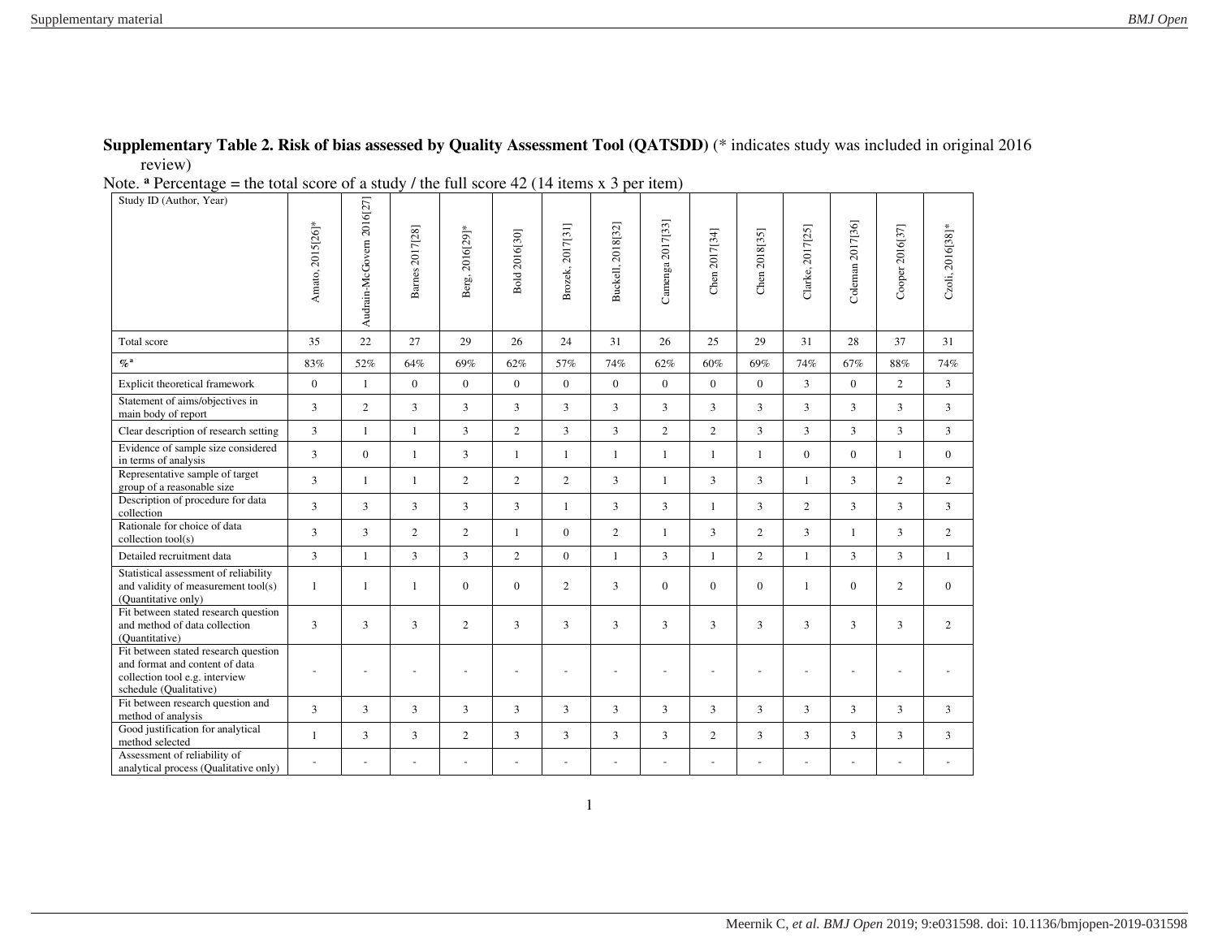## **Supplementary Table 2. Risk of bias assessed by Quality Assessment Tool (QATSDD)** (\* indicates study was included in original 2016 review)

Note. <sup>a</sup> Percentage = the total score of a study / the full score 42 (14 items x 3 per item)

| Study ID (Author, Year)                                                                                                            | Amato, 2015[26]* | Audrain-McGovern 2016[27] | Barnes 2017[28] | Berg, 2016[29]*          | Bold 2016[30]  | Brozek, 2017[31] | Buckell, 2018[32] | Camenga 2017[33] | Chen 2017[34]  | Chen 2018[35]  | Clarke, 2017[25] | Coleman 2017[36] | Cooper 2016[37] | Czoli, 2016[38]* |
|------------------------------------------------------------------------------------------------------------------------------------|------------------|---------------------------|-----------------|--------------------------|----------------|------------------|-------------------|------------------|----------------|----------------|------------------|------------------|-----------------|------------------|
| Total score                                                                                                                        | 35               | 22                        | 27              | 29                       | 26             | 24               | 31                | 26               | 25             | 29             | 31               | 28               | 37              | 31               |
| $\%$ <sup>a</sup>                                                                                                                  | 83%              | 52%                       | 64%             | 69%                      | 62%            | 57%              | 74%               | 62%              | 60%            | 69%            | 74%              | 67%              | 88%             | 74%              |
| Explicit theoretical framework                                                                                                     | $\bf{0}$         | $\mathbf{1}$              | $\bf{0}$        | $\boldsymbol{0}$         | $\mathbf{0}$   | $\mathbf{0}$     | $\mathbf{0}$      | $\bf{0}$         | $\overline{0}$ | $\mathbf{0}$   | 3                | $\mathbf{0}$     | $\overline{2}$  | 3                |
| Statement of aims/objectives in<br>main body of report                                                                             | $\overline{3}$   | $\overline{c}$            | $\overline{3}$  | 3                        | $\overline{3}$ | 3                | $\overline{3}$    | 3                | $\overline{3}$ | 3              | 3                | 3                | $\mathbf{3}$    | 3                |
| Clear description of research setting                                                                                              | 3                | $\mathbf{1}$              | $\mathbf{1}$    | $\overline{3}$           | $\overline{2}$ | 3                | $\overline{3}$    | $\overline{2}$   | $\overline{2}$ | 3              | 3                | $\overline{3}$   | $\mathbf{3}$    | 3                |
| Evidence of sample size considered<br>in terms of analysis                                                                         | 3                | $\mathbf{0}$              | $\mathbf{1}$    | 3                        | $\mathbf{1}$   | $\mathbf{1}$     | 1                 | $\mathbf{1}$     | $\mathbf{1}$   | $\mathbf{1}$   | $\bf{0}$         | $\mathbf 0$      | $\mathbf{1}$    | $\overline{0}$   |
| Representative sample of target<br>group of a reasonable size                                                                      | 3                | 1                         | $\mathbf{1}$    | $\overline{2}$           | $\overline{2}$ | $\overline{2}$   | $\mathbf{3}$      | $\mathbf{1}$     | $\overline{3}$ | 3              | $\mathbf{1}$     | 3                | 2               | $\overline{2}$   |
| Description of procedure for data<br>collection                                                                                    | $\overline{3}$   | $\overline{3}$            | 3               | 3                        | $\overline{3}$ | $\mathbf{1}$     | $\overline{3}$    | $\overline{3}$   | $\mathbf{1}$   | 3              | $\mathbf{2}$     | 3                | $\mathbf{3}$    | 3                |
| Rationale for choice of data<br>collection tool(s)                                                                                 | 3                | 3                         | $\overline{2}$  | $\overline{2}$           | $\mathbf{1}$   | $\overline{0}$   | $\overline{2}$    | $\mathbf{1}$     | 3              | $\overline{2}$ | $\overline{3}$   | $\mathbf{1}$     | $\mathbf{3}$    | $\overline{2}$   |
| Detailed recruitment data                                                                                                          | 3                | $\mathbf{1}$              | 3               | 3                        | $\overline{2}$ | $\overline{0}$   | $\mathbf{1}$      | $\overline{3}$   | $\mathbf{1}$   | $\overline{2}$ | $\mathbf{1}$     | 3                | $\mathbf{3}$    | $\mathbf{1}$     |
| Statistical assessment of reliability<br>and validity of measurement tool(s)<br>(Quantitative only)                                | $\mathbf{1}$     | 1                         | 1               | $\boldsymbol{0}$         | $\mathbf{0}$   | $\overline{2}$   | 3                 | $\mathbf{0}$     | $\overline{0}$ | $\overline{0}$ | $\overline{1}$   | $\mathbf 0$      | 2               | $\mathbf{0}$     |
| Fit between stated research question<br>and method of data collection<br>(Quantitative)                                            | 3                | 3                         | 3               | $\overline{2}$           | 3              | 3                | 3                 | 3                | 3              | 3              | 3                | 3                | 3               | $\overline{2}$   |
| Fit between stated research question<br>and format and content of data<br>collection tool e.g. interview<br>schedule (Qualitative) | $\sim$           | $\overline{\phantom{a}}$  | $\sim$          | $\overline{\phantom{a}}$ |                |                  |                   |                  |                | $\sim$         | $\sim$           | $\sim$           | ٠               |                  |
| Fit between research question and<br>method of analysis                                                                            | 3                | 3                         | 3               | 3                        | 3              | 3                | 3                 | 3                | 3              | 3              | 3                | 3                | 3               | 3                |
| Good justification for analytical<br>method selected                                                                               | $\mathbf{1}$     | 3                         | $\overline{3}$  | $\overline{c}$           | $\overline{3}$ | 3                | $\overline{3}$    | 3                | $\overline{c}$ | 3              | 3                | 3                | 3               | 3                |
| Assessment of reliability of<br>analytical process (Qualitative only)                                                              |                  |                           |                 |                          |                |                  |                   |                  |                |                |                  | $\overline{a}$   |                 |                  |

1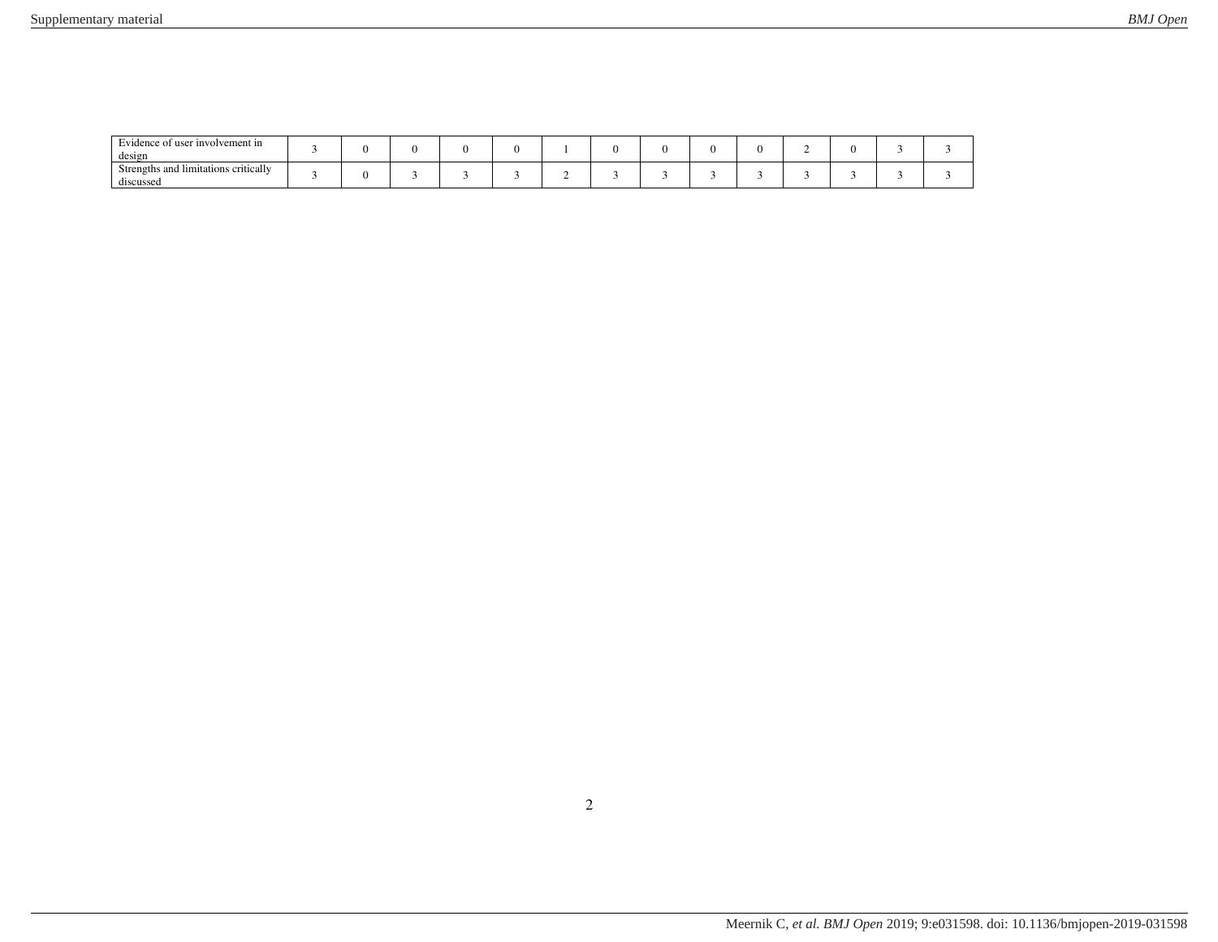| Evidence of user involvement in<br>design         |  |  |  |  |  |  |  |
|---------------------------------------------------|--|--|--|--|--|--|--|
| Strengths and limitations critically<br>discussed |  |  |  |  |  |  |  |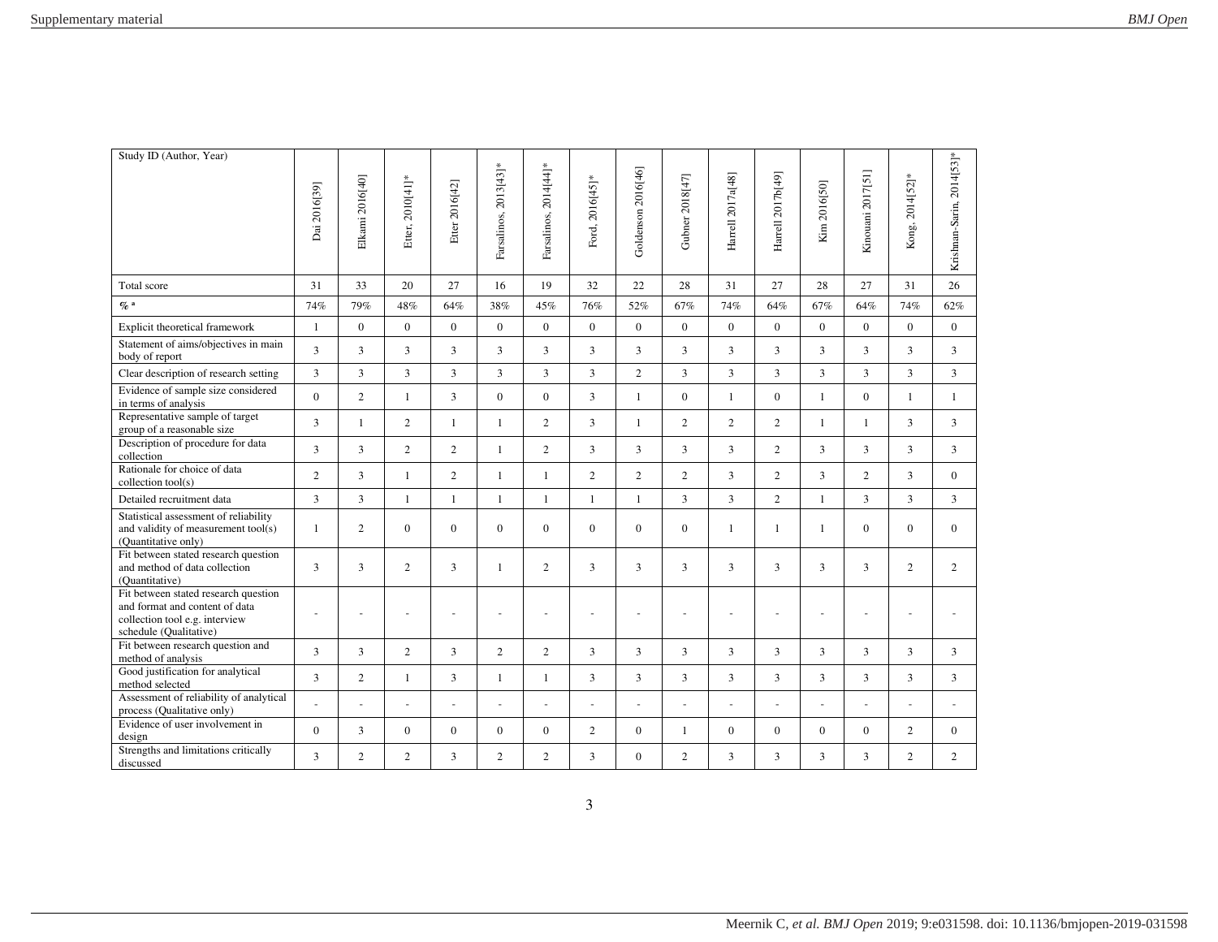| Study ID (Author, Year)                                                                                                            | Dai 2016[39]   | Elkami 2016[40] | Etter, 2010[41]* | Etter 2016[42] | Farsalinos, 2013[43]* | Farsalinos, 2014[44]* | Ford, 2016[45]* | Goldenson 2016[46]       | Gubner 2018[47] | Harrell 2017a[48]        | Harrell 2017b[49]        | Kim 2016[50]         | Kinouani 2017[51] | Kong, 2014[52]* | Krishnan-Sarin, 2014[53]* |
|------------------------------------------------------------------------------------------------------------------------------------|----------------|-----------------|------------------|----------------|-----------------------|-----------------------|-----------------|--------------------------|-----------------|--------------------------|--------------------------|----------------------|-------------------|-----------------|---------------------------|
| Total score                                                                                                                        | 31             | 33              | 20               | 27             | 16                    | 19                    | 32              | 22                       | 28              | 31                       | 27                       | 28                   | 27                | 31              | 26                        |
| $\%$ a                                                                                                                             | 74%            | 79%             | 48%              | 64%            | 38%                   | 45%                   | 76%             | 52%                      | 67%             | 74%                      | 64%                      | 67%                  | 64%               | 74%             | 62%                       |
| Explicit theoretical framework                                                                                                     | $\mathbf{1}$   | $\theta$        | $\theta$         | $\Omega$       | $\Omega$              | $\Omega$              | $\overline{0}$  | $\Omega$                 | $\overline{0}$  | $\Omega$                 | $\Omega$                 | $\Omega$             | $\Omega$          | $\Omega$        | $\mathbf{0}$              |
| Statement of aims/objectives in main<br>body of report                                                                             | 3              | $\overline{3}$  | 3                | 3              | 3                     | 3                     | $\overline{3}$  | $\overline{3}$           | 3               | $\overline{3}$           | $\overline{3}$           | 3                    | 3                 | 3               | $\overline{3}$            |
| Clear description of research setting                                                                                              | $\overline{3}$ | $\overline{3}$  | $\overline{3}$   | $\overline{3}$ | $\overline{3}$        | $\overline{3}$        | $\overline{3}$  | $\overline{2}$           | $\overline{3}$  | $\overline{3}$           | $\overline{3}$           | $\overline{3}$       | 3                 | $\overline{3}$  | $\overline{3}$            |
| Evidence of sample size considered<br>in terms of analysis                                                                         | $\Omega$       | $\overline{2}$  | $\mathbf{1}$     | 3              | $\overline{0}$        | $\Omega$              | $\overline{3}$  | $\mathbf{1}$             | $\overline{0}$  | $\mathbf{1}$             | $\Omega$                 | $\mathbf{1}$         | $\theta$          | $\mathbf{1}$    | $\mathbf{1}$              |
| Representative sample of target<br>group of a reasonable size                                                                      | 3              | $\mathbf{1}$    | $\overline{2}$   | $\mathbf{1}$   | $\mathbf{1}$          | $\overline{c}$        | $\overline{3}$  | $\mathbf{1}$             | $\overline{2}$  | $\overline{c}$           | $\overline{c}$           | $\mathbf{1}$         | $\mathbf{1}$      | 3               | 3                         |
| Description of procedure for data<br>collection                                                                                    | $\overline{3}$ | 3               | $\overline{2}$   | $\overline{2}$ | $\mathbf{1}$          | $\overline{2}$        | 3               | 3                        | 3               | 3                        | $\overline{2}$           | $\overline{3}$       | 3                 | 3               | 3                         |
| Rationale for choice of data<br>collection tool(s)                                                                                 | $\overline{2}$ | $\overline{3}$  | $\mathbf{1}$     | $\overline{2}$ | $\mathbf{1}$          | $\mathbf{1}$          | $\overline{2}$  | $\overline{c}$           | $\overline{c}$  | $\overline{3}$           | $\overline{2}$           | $\overline{3}$       | $\overline{c}$    | 3               | $\overline{0}$            |
| Detailed recruitment data                                                                                                          | $\overline{3}$ | $\overline{3}$  | $\mathbf{1}$     | $\mathbf{1}$   | $\mathbf{1}$          | $\mathbf{1}$          | $\mathbf{1}$    | $\mathbf{1}$             | 3               | 3                        | $\overline{2}$           | $\mathbf{1}$         | $\overline{3}$    | 3               | 3                         |
| Statistical assessment of reliability<br>and validity of measurement tool(s)<br>(Quantitative only)                                | $\mathbf{1}$   | $\overline{2}$  | $\overline{0}$   | $\overline{0}$ | $\overline{0}$        | $\overline{0}$        | $\overline{0}$  | $\overline{0}$           | $\mathbf{0}$    | $\mathbf{1}$             | $\mathbf{1}$             | $\mathbf{1}$         | $\mathbf{0}$      | $\overline{0}$  | $\bf{0}$                  |
| Fit between stated research question<br>and method of data collection<br>(Quantitative)                                            | 3              | 3               | $\overline{2}$   | 3              | $\mathbf{1}$          | 2                     | 3               | 3                        | 3               | 3                        | 3                        | 3                    | 3                 | $\overline{2}$  | 2                         |
| Fit between stated research question<br>and format and content of data<br>collection tool e.g. interview<br>schedule (Qualitative) | $\sim$         |                 |                  |                |                       |                       |                 |                          |                 |                          |                          |                      |                   |                 |                           |
| Fit between research question and<br>method of analysis                                                                            | 3              | $\overline{3}$  | $\overline{2}$   | $\overline{3}$ | $\overline{2}$        | $\overline{2}$        | $\overline{3}$  | $\overline{3}$           | $\overline{3}$  | $\overline{3}$           | $\overline{3}$           | $\overline{3}$       | 3                 | $\overline{3}$  | 3                         |
| Good justification for analytical<br>method selected                                                                               | 3              | $\overline{2}$  | $\mathbf{1}$     | 3              | $\mathbf{1}$          | $\mathbf{1}$          | 3               | 3                        | 3               | 3                        | 3                        | $\overline{3}$       | 3                 | 3               | 3                         |
| Assessment of reliability of analytical<br>process (Qualitative only)                                                              |                | $\overline{a}$  | $\sim$           | $\sim$         | $\sim$                | $\sim$                | $\sim$          | $\overline{\phantom{a}}$ | $\blacksquare$  | $\overline{\phantom{a}}$ | $\overline{\phantom{a}}$ | $\ddot{\phantom{1}}$ |                   | ÷,              |                           |
| Evidence of user involvement in<br>design                                                                                          | $\mathbf{0}$   | 3               | $\mathbf{0}$     | $\overline{0}$ | $\overline{0}$        | $\overline{0}$        | $\overline{2}$  | $\overline{0}$           | 1               | $\overline{0}$           | $\overline{0}$           | $\mathbf{0}$         | $\mathbf{0}$      | $\overline{2}$  | $\mathbf{0}$              |
| Strengths and limitations critically<br>discussed                                                                                  | 3              | $\overline{2}$  | $\overline{2}$   | 3              | $\overline{2}$        | $\overline{2}$        | 3               | $\overline{0}$           | $\overline{2}$  | 3                        | 3                        | 3                    | 3                 | $\overline{2}$  | 2                         |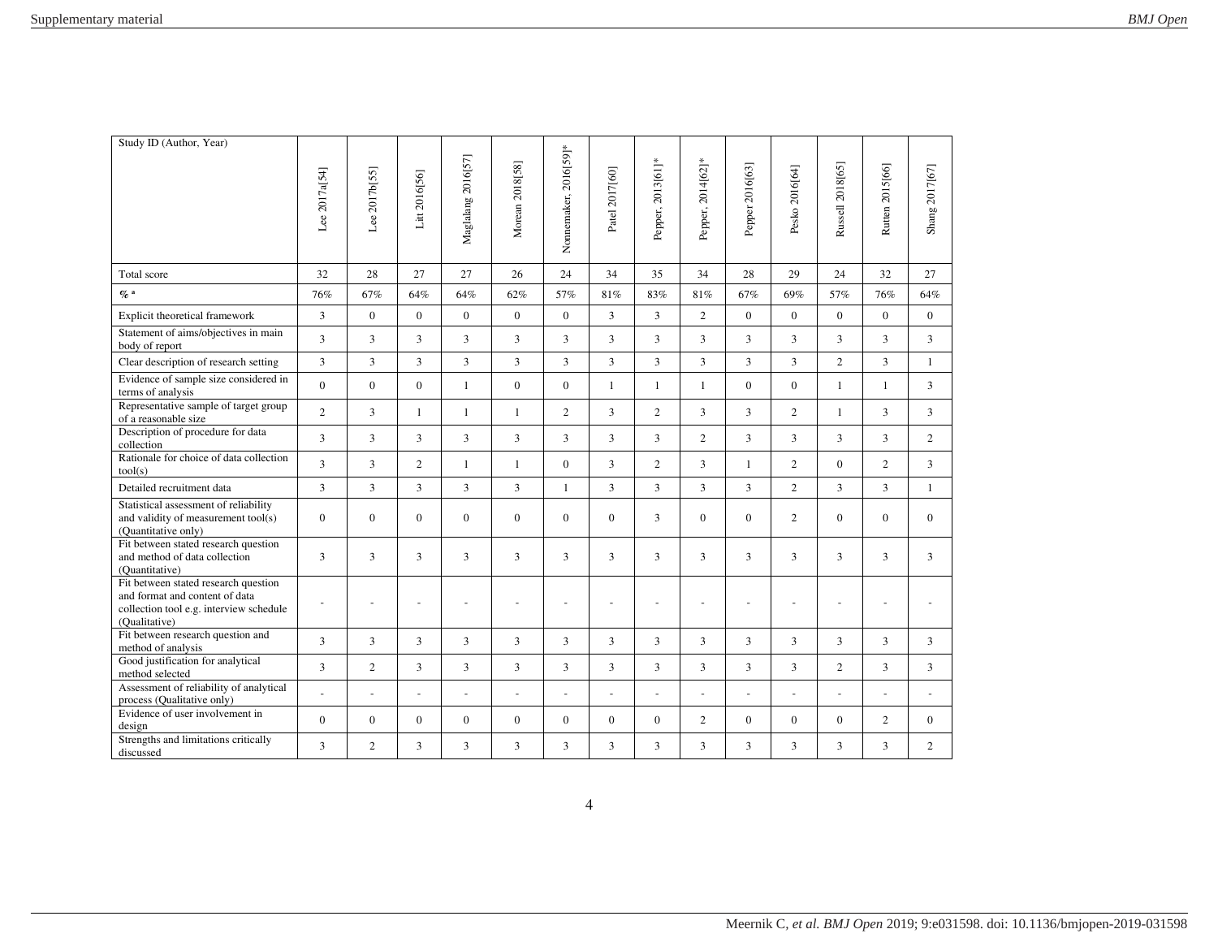| Study ID (Author, Year)                                                                                                            | Lee 2017a[54]  | Lee 2017b[55]  | Litt 2016[56]  | Maglalang 2016[57] | Morean 2018[58]  | Nonnemaker, 2016[59]* | Patel 2017[60] | Pepper, 2013[61]*        | Pepper, 2014[62]* | Pepper 2016[63] | Pesko 2016[64] | Russell 2018[65] | Rutten 2015[66] | Shang 2017[67] |
|------------------------------------------------------------------------------------------------------------------------------------|----------------|----------------|----------------|--------------------|------------------|-----------------------|----------------|--------------------------|-------------------|-----------------|----------------|------------------|-----------------|----------------|
| Total score                                                                                                                        | 32             | 28             | 27             | 27                 | 26               | 24                    | 34             | 35                       | 34                | 28              | 29             | 24               | 32              | 27             |
| $\mathcal{O}_0$ a                                                                                                                  | 76%            | 67%            | 64%            | 64%                | 62%              | 57%                   | 81%            | 83%                      | 81%               | 67%             | 69%            | 57%              | 76%             | 64%            |
| Explicit theoretical framework                                                                                                     | $\overline{3}$ | $\overline{0}$ | $\mathbf{0}$   | $\mathbf{0}$       | $\mathbf{0}$     | $\mathbf{0}$          | $\overline{3}$ | $\overline{3}$           | 2                 | $\Omega$        | $\theta$       | $\Omega$         | $\Omega$        | $\overline{0}$ |
| Statement of aims/objectives in main<br>body of report                                                                             | $\overline{3}$ | 3              | 3              | 3                  | $\overline{3}$   | 3                     | 3              | 3                        | $\overline{3}$    | 3               | 3              | 3                | 3               | 3              |
| Clear description of research setting                                                                                              | $\overline{3}$ | $\overline{3}$ | 3              | 3                  | $\overline{3}$   | 3                     | 3              | $\overline{3}$           | 3                 | 3               | 3              | $\overline{2}$   | 3               | $\mathbf{1}$   |
| Evidence of sample size considered in<br>terms of analysis                                                                         | $\overline{0}$ | $\mathbf{0}$   | $\Omega$       | $\mathbf{1}$       | $\mathbf{0}$     | $\mathbf{0}$          | $\mathbf{1}$   | $\mathbf{1}$             | $\mathbf{1}$      | $\Omega$        | $\Omega$       | $\mathbf{1}$     | $\mathbf{1}$    | $\overline{3}$ |
| Representative sample of target group<br>of a reasonable size                                                                      | $\overline{2}$ | 3              | $\mathbf{1}$   | 1                  | $\mathbf{1}$     | $\overline{2}$        | 3              | $\overline{2}$           | 3                 | 3               | $\overline{2}$ | $\mathbf{1}$     | 3               | $\overline{3}$ |
| Description of procedure for data<br>collection                                                                                    | $\overline{3}$ | $\overline{3}$ | 3              | 3                  | 3                | $\overline{3}$        | 3              | $\overline{3}$           | 2                 | $\overline{3}$  | 3              | 3                | $\overline{3}$  | $\overline{2}$ |
| Rationale for choice of data collection<br>tool(s)                                                                                 | 3              | 3              | $\overline{2}$ | 1                  | $\mathbf{1}$     | $\mathbf{0}$          | 3              | $\overline{2}$           | 3                 | $\mathbf{1}$    | $\overline{2}$ | $\Omega$         | $\overline{2}$  | 3              |
| Detailed recruitment data                                                                                                          | 3              | 3              | 3              | 3                  | 3                | 1                     | 3              | 3                        | 3                 | 3               | $\overline{2}$ | 3                | $\overline{3}$  | $\mathbf{1}$   |
| Statistical assessment of reliability<br>and validity of measurement tool(s)<br>(Quantitative only)                                | $\mathbf{0}$   | $\overline{0}$ | $\mathbf{0}$   | $\mathbf{0}$       | $\mathbf{0}$     | $\mathbf{0}$          | $\overline{0}$ | $\overline{3}$           | $\mathbf{0}$      | $\mathbf{0}$    | $\overline{2}$ | $\overline{0}$   | $\mathbf{0}$    | $\Omega$       |
| Fit between stated research question<br>and method of data collection<br>(Quantitative)                                            | 3              | 3              | 3              | 3                  | 3                | 3                     | 3              | 3                        | 3                 | 3               | 3              | 3                | 3               | 3              |
| Fit between stated research question<br>and format and content of data<br>collection tool e.g. interview schedule<br>(Qualitative) |                |                |                |                    |                  |                       |                |                          |                   |                 |                |                  |                 |                |
| Fit between research question and<br>method of analysis                                                                            | $\overline{3}$ | $\overline{3}$ | 3              | 3                  | $\overline{3}$   | 3                     | 3              | $\overline{3}$           | 3                 | $\overline{3}$  | 3              | $\overline{3}$   | $\overline{3}$  | $\overline{3}$ |
| Good justification for analytical<br>method selected                                                                               | $\overline{3}$ | $\overline{c}$ | 3              | $\overline{3}$     | $\overline{3}$   | 3                     | 3              | $\overline{3}$           | $\overline{3}$    | $\overline{3}$  | $\overline{3}$ | $\overline{2}$   | 3               | $\overline{3}$ |
| Assessment of reliability of analytical<br>process (Qualitative only)                                                              |                |                | L.             | L.                 | L,               | L,                    | $\overline{a}$ | $\overline{\phantom{a}}$ | L.                | L.              |                |                  |                 |                |
| Evidence of user involvement in<br>design                                                                                          | $\overline{0}$ | $\overline{0}$ | $\overline{0}$ | $\mathbf{0}$       | $\boldsymbol{0}$ | $\mathbf{0}$          | $\mathbf{0}$   | $\Omega$                 | 2                 | $\Omega$        | $\Omega$       | $\Omega$         | $\overline{2}$  | $\Omega$       |
| Strengths and limitations critically<br>discussed                                                                                  | $\overline{3}$ | $\overline{c}$ | 3              | 3                  | $\overline{3}$   | 3                     | 3              | 3                        | 3                 | 3               | 3              | 3                | 3               | $\overline{2}$ |